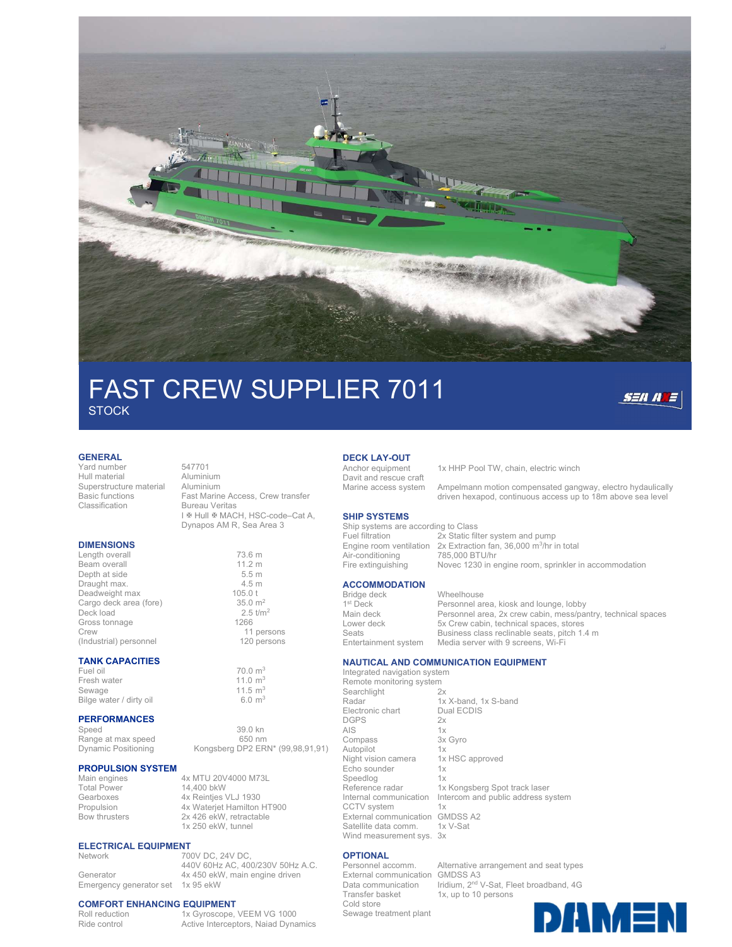

# FAST CREW SUPPLIER 7011 **STOCK**



### GENERAL

L

Yard number 547701 Hull material **Aluminium**<br>Superstructure material Aluminium Superstructure material<br>Basic functions

### **DIMENSIONS**

Length overall 73.6 m<br>Beam overall 73.6 m<br>11.2 m Beam overall 11.2 m<br>
Depth at side 5.5 m Depth at side 5.5 m<br>Draught max. 4.5 m Draught max. 4.5 m<br>
Deadweight max 4.5 m<br>
105.0 t Deadweight max 105.0 t<br>Cargo deck area (fore) 35.0 m<sup>2</sup> Cargo deck area (fore) 35.0 m<sup>2</sup><br>Deck load 2.5 t/m<sup>2</sup> Deck load 2.5 to the contract of the contract of the contract of the contract of the contract of the contract o<br>Gross tonnage 1266 Gross tonnage Crew 11 persons (Industrial) personnel 120 persons

### TANK CAPACITIES

Fuel oil 70.0 m<sup>3</sup> Fresh water 11.0 m<sup>3</sup> Sewage 11.5 m<sup>3</sup> Bilge water / dirty oil 6.0 m<sup>3</sup>

### PERFORMANCES

Speed 39.0 kn<br>Range at max speed 650 nm Range at max speed<br>Dynamic Positioning

### PROPULSION SYSTEM

Main engines 4x MTU 20V4000 M73L<br>Total Power 14 400 bkW 14,400 bkW Gearboxes 4x Reintjes VLJ 1930<br>Propulsion 4x Wateriet Hamilton Propulsion 4x Waterjet Hamilton HT900<br>Bow thrusters 2x 426 ekW, retractable 2x 426 ekW, retractable 1x 250 ekW, tunnel

440V 60Hz AC, 400/230V 50Hz A.C.

Kongsberg DP2 ERN\* (99,98,91,91)

### **ELECTRICAL EQUIPMENT**<br>Network 70 700V DC, 24V DC,

Generator 4x 450 ekW, main engine driven Emergency generator set 1x 95 ekW

### COMFORT ENHANCING EQUIPMENT

Roll reduction 1x Gyroscope, VEEM VG 1000 Ride control **Active Interceptors, Naiad Dynamics** 

Basic functions Fast Marine Access, Crew transfer **Bureau Veritas** I **M** Hull **MACH**, HSC-code-Cat A, Dynapos AM R, Sea Area 3

## **DECK LAY-OUT**<br>Anchor equipment

Davit and rescue craft

1x HHP Pool TW, chain, electric winch

Marine access system Ampelmann motion compensated gangway, electro hydaulically driven hexapod, continuous access up to 18m above sea level

### SHIP SYSTEMS

 $1<sup>st</sup>$  Deck

| Ship systems are according to Class |                                                                                 |
|-------------------------------------|---------------------------------------------------------------------------------|
| Fuel filtration                     | 2x Static filter system and pump                                                |
|                                     | Engine room ventilation $2x$ Extraction fan, 36,000 m <sup>3</sup> /hr in total |
| Air-conditioning                    | 785,000 BTU/hr                                                                  |
| Fire extinguishing                  | Novec 1230 in engine room, sprinkler in accommodation                           |
|                                     |                                                                                 |
|                                     |                                                                                 |

### **ACCOMMODATION**

Bridge deck Wheelhouse Personnel area, kiosk and lounge, lobby Main deck Personnel area, 2x crew cabin, mess/pantry, technical spaces Lower deck 5x Crew cabin, technical spaces, stores Seats Business class reclinable seats, pitch 1.4 m<br>Entertainment system Media server with 9 screens, Wi-Fi Media server with 9 screens, Wi-Fi

### NAUTICAL AND COMMUNICATION EQUIPMENT

Integrated navigation system Remote monitoring system<br>Searchlight 2x Searchlight<br>Radar 1x X-band, 1x S-band<br>Dual ECDIS Electronic chart DGPS 2x<br>AIS 1x AIS 1x<br>Compass 3x Gyro Compass Autopilot 1x Night vision camera 1x HSC approved Echo sounder 1x Speedlog 1x Reference radar 1x Kongsberg Spot track laser<br>Internal communication Intercom and public address so Intercom and public address system CCTV system 1x<br>External communication GMDSS A2 External communication GMDSS<br>Satellite data comm. 1x V-Sat Satellite data comm. 1x<br>Wind measurement sys. 3x Wind measurement sys.

**OPTIONAL**<br>Personnel accomm. External communication GMDSS A3 Data communication<br>Transfer basket Cold store

Alternative arrangement and seat types Iridium, 2<sup>nd</sup> V-Sat, Fleet broadband, 4G 1x, up to 10 persons

Sewage treatment plant